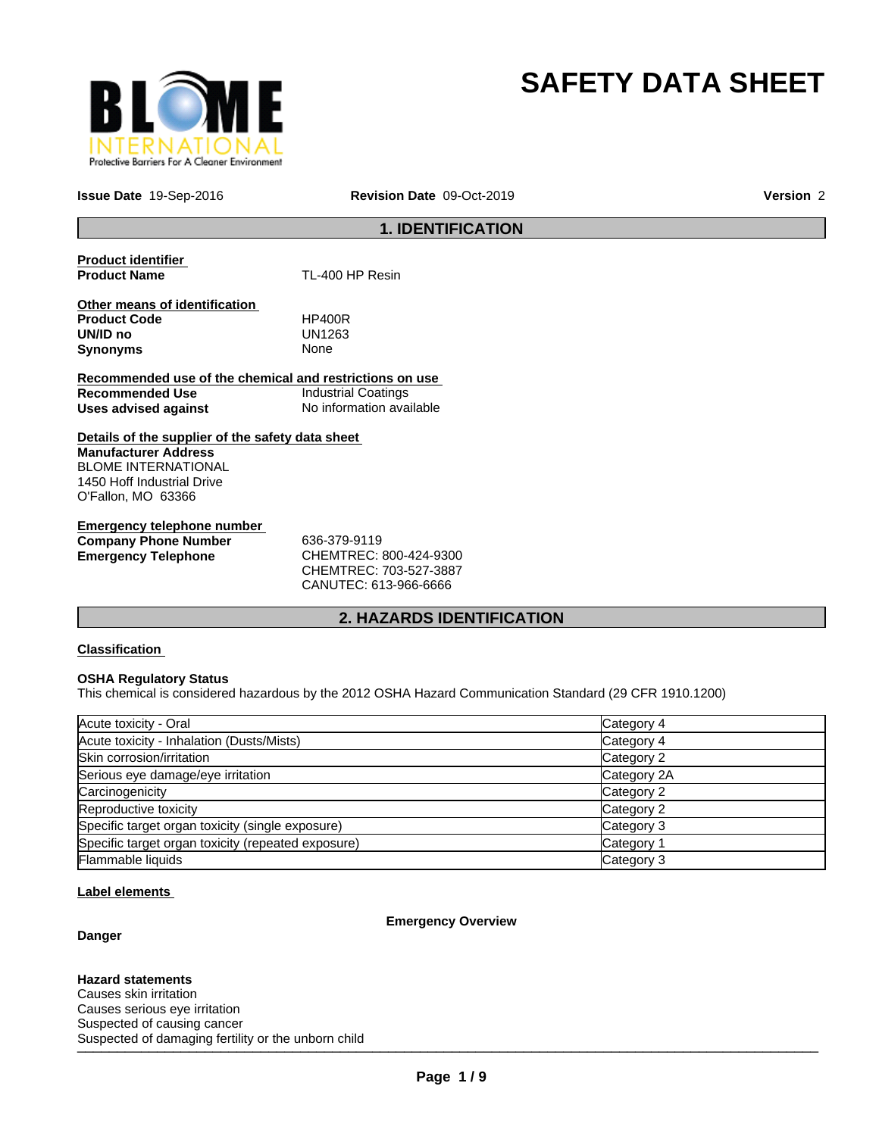

# **SAFETY DATA SHEET**

**Issue Date** 19-Sep-2016

**Revision Date** 09-Oct-2019 **Version** 2

# **1. IDENTIFICATION**

**Product identifier TL-400 HP Resin** 

**Other means of identification Product Code The HP400R**<br> **UNID no** UN1263 **UN/ID no** UN12<br>**Synonyms** None **Synonyms** 

**Recommended use of the chemical and restrictions on use Recommended Use** Industrial Coatings **Uses advised against** No information available

**Details of the supplier of the safety data sheet Manufacturer Address** BLOME INTERNATIONAL 1450 Hoff Industrial Drive O'Fallon, MO 63366

**Emergency telephone number Company Phone Number** 636-379-9119 **Emergency Telephone** CHEMTREC: 800-424-9300

CHEMTREC: 703-527-3887 CANUTEC: 613-966-6666

# **2. HAZARDS IDENTIFICATION**

#### **Classification**

#### **OSHA Regulatory Status**

This chemical is considered hazardous by the 2012 OSHA Hazard Communication Standard (29 CFR 1910.1200)

| Acute toxicity - Oral                              | Category 4  |
|----------------------------------------------------|-------------|
| Acute toxicity - Inhalation (Dusts/Mists)          | Category 4  |
| Skin corrosion/irritation                          | Category 2  |
| Serious eye damage/eye irritation                  | Category 2A |
| Carcinogenicity                                    | Category 2  |
| Reproductive toxicity                              | Category 2  |
| Specific target organ toxicity (single exposure)   | Category 3  |
| Specific target organ toxicity (repeated exposure) | Category 1  |
| Flammable liquids                                  | Category 3  |

#### **Label elements**

#### **Danger**

**Emergency Overview**

\_\_\_\_\_\_\_\_\_\_\_\_\_\_\_\_\_\_\_\_\_\_\_\_\_\_\_\_\_\_\_\_\_\_\_\_\_\_\_\_\_\_\_\_\_\_\_\_\_\_\_\_\_\_\_\_\_\_\_\_\_\_\_\_\_\_\_\_\_\_\_\_\_\_\_\_\_\_\_\_\_\_\_\_\_\_\_\_\_\_\_\_\_ Suspected of damaging fertility or the unborn child **Hazard statements** Causes skin irritation Causes serious eye irritation Suspected of causing cancer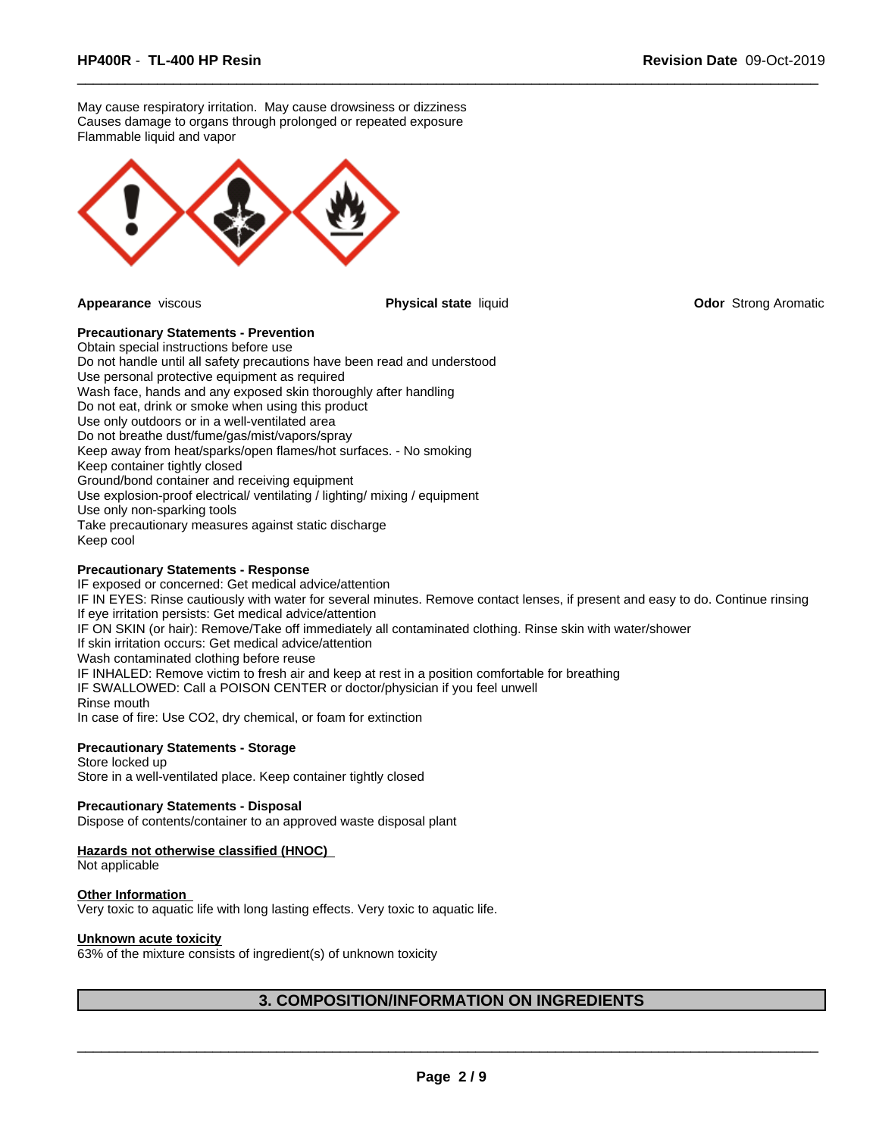May cause respiratory irritation. May cause drowsiness or dizziness Causes damage to organs through prolonged or repeated exposure Flammable liquid and vapor



 $\overline{\phantom{a}}$  ,  $\overline{\phantom{a}}$  ,  $\overline{\phantom{a}}$  ,  $\overline{\phantom{a}}$  ,  $\overline{\phantom{a}}$  ,  $\overline{\phantom{a}}$  ,  $\overline{\phantom{a}}$  ,  $\overline{\phantom{a}}$  ,  $\overline{\phantom{a}}$  ,  $\overline{\phantom{a}}$  ,  $\overline{\phantom{a}}$  ,  $\overline{\phantom{a}}$  ,  $\overline{\phantom{a}}$  ,  $\overline{\phantom{a}}$  ,  $\overline{\phantom{a}}$  ,  $\overline{\phantom{a}}$ 

**Appearance** viscous **Physical state** liquid **Odor** Strong Aromatic

#### **Precautionary Statements - Prevention**

Obtain special instructions before use Do not handle until all safety precautions have been read and understood Use personal protective equipment as required Wash face, hands and any exposed skin thoroughly after handling Do not eat, drink or smoke when using this product Use only outdoors or in a well-ventilated area Do not breathe dust/fume/gas/mist/vapors/spray Keep away from heat/sparks/open flames/hot surfaces. - No smoking Keep container tightly closed Ground/bond container and receiving equipment Use explosion-proof electrical/ ventilating / lighting/ mixing / equipment Use only non-sparking tools Take precautionary measures against static discharge Keep cool

#### **Precautionary Statements - Response**

IF exposed or concerned: Get medical advice/attention IF IN EYES: Rinse cautiously with water for several minutes. Remove contact lenses, if present and easy to do. Continue rinsing If eye irritation persists: Get medical advice/attention IF ON SKIN (or hair): Remove/Take off immediately all contaminated clothing. Rinse skin with water/shower If skin irritation occurs: Get medical advice/attention Wash contaminated clothing before reuse IF INHALED: Remove victim to fresh air and keep at rest in a position comfortable for breathing IF SWALLOWED: Call a POISON CENTER or doctor/physician if you feel unwell Rinse mouth In case of fire: Use CO2, dry chemical, or foam for extinction

#### **Precautionary Statements - Storage**

Store locked up Store in a well-ventilated place. Keep container tightly closed

#### **Precautionary Statements - Disposal**

Dispose of contents/container to an approved waste disposal plant

#### **Hazards not otherwise classified (HNOC)**

Not applicable

#### **Other Information**

Very toxic to aquatic life with long lasting effects. Very toxic to aquatic life.

#### **Unknown acute toxicity**

63% of the mixture consists of ingredient(s) of unknown toxicity

#### **3. COMPOSITION/INFORMATION ON INGREDIENTS**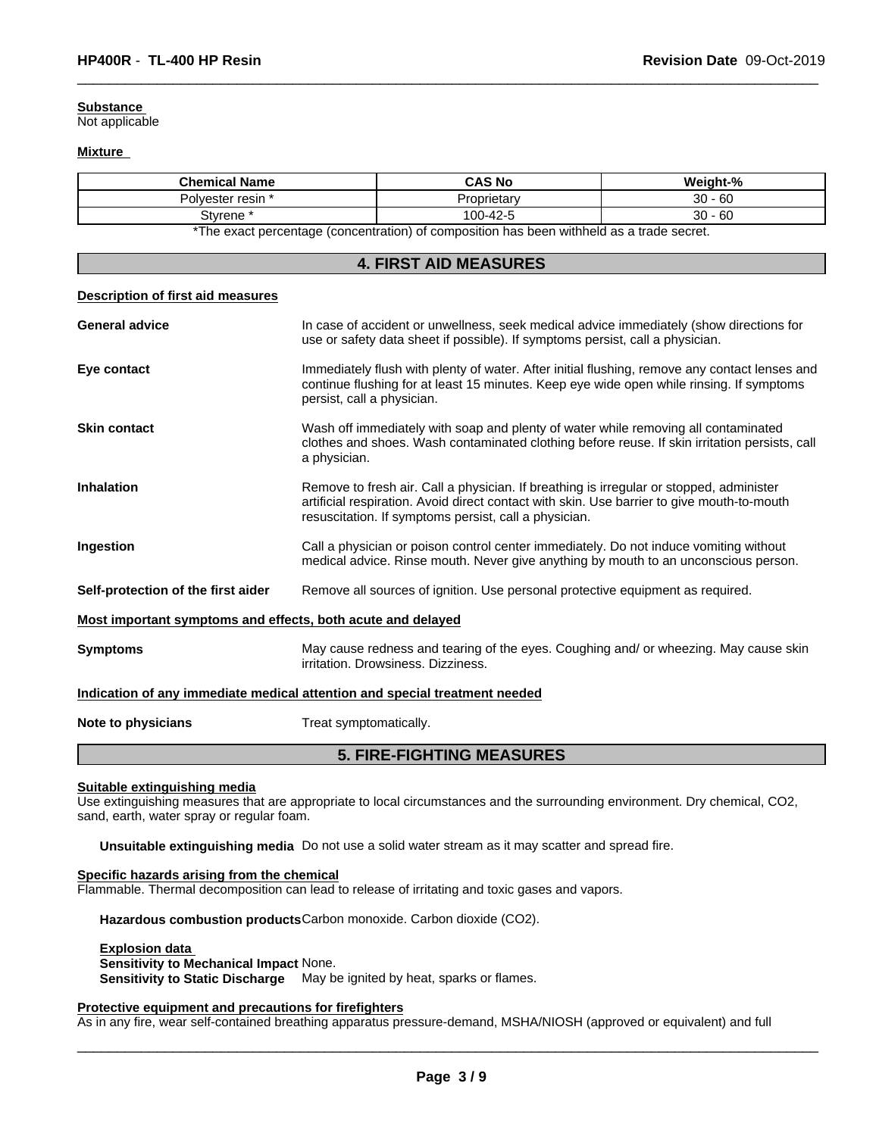#### **Substance**

Not applicable

#### **Mixture**

| <b>Chemical Name</b>                                                                      | <b>CAS No</b> | Weight-% |  |  |
|-------------------------------------------------------------------------------------------|---------------|----------|--|--|
| $30 - 60$<br>Polvester resin '<br>Proprietary                                             |               |          |  |  |
| 100-42-5<br>$30 - 60$<br>Stvrene <sup>:</sup>                                             |               |          |  |  |
| *The exact percentage (concentration) of composition has been withheld as a trade secret. |               |          |  |  |

 $\overline{\phantom{a}}$  ,  $\overline{\phantom{a}}$  ,  $\overline{\phantom{a}}$  ,  $\overline{\phantom{a}}$  ,  $\overline{\phantom{a}}$  ,  $\overline{\phantom{a}}$  ,  $\overline{\phantom{a}}$  ,  $\overline{\phantom{a}}$  ,  $\overline{\phantom{a}}$  ,  $\overline{\phantom{a}}$  ,  $\overline{\phantom{a}}$  ,  $\overline{\phantom{a}}$  ,  $\overline{\phantom{a}}$  ,  $\overline{\phantom{a}}$  ,  $\overline{\phantom{a}}$  ,  $\overline{\phantom{a}}$ 

| <b>4. FIRST AID MEASURES</b>                                |                                                                                                                                                                                                                                                |  |
|-------------------------------------------------------------|------------------------------------------------------------------------------------------------------------------------------------------------------------------------------------------------------------------------------------------------|--|
| Description of first aid measures                           |                                                                                                                                                                                                                                                |  |
| <b>General advice</b>                                       | In case of accident or unwellness, seek medical advice immediately (show directions for<br>use or safety data sheet if possible). If symptoms persist, call a physician.                                                                       |  |
| Eye contact                                                 | Immediately flush with plenty of water. After initial flushing, remove any contact lenses and<br>continue flushing for at least 15 minutes. Keep eye wide open while rinsing. If symptoms<br>persist, call a physician.                        |  |
| <b>Skin contact</b>                                         | Wash off immediately with soap and plenty of water while removing all contaminated<br>clothes and shoes. Wash contaminated clothing before reuse. If skin irritation persists, call<br>a physician.                                            |  |
| <b>Inhalation</b>                                           | Remove to fresh air. Call a physician. If breathing is irregular or stopped, administer<br>artificial respiration. Avoid direct contact with skin. Use barrier to give mouth-to-mouth<br>resuscitation. If symptoms persist, call a physician. |  |
| Ingestion                                                   | Call a physician or poison control center immediately. Do not induce vomiting without<br>medical advice. Rinse mouth. Never give anything by mouth to an unconscious person.                                                                   |  |
| Self-protection of the first aider                          | Remove all sources of ignition. Use personal protective equipment as required.                                                                                                                                                                 |  |
| Most important symptoms and effects, both acute and delayed |                                                                                                                                                                                                                                                |  |
| <b>Symptoms</b>                                             | May cause redness and tearing of the eyes. Coughing and/ or wheezing. May cause skin<br>irritation. Drowsiness. Dizziness.                                                                                                                     |  |
|                                                             | Indication of any immediate medical attention and special treatment needed                                                                                                                                                                     |  |
| Note to physicians                                          | Treat symptomatically.                                                                                                                                                                                                                         |  |

# **5. FIRE-FIGHTING MEASURES**

#### **Suitable extinguishing media**

Use extinguishing measures that are appropriate to local circumstances and the surrounding environment. Dry chemical, CO2, sand, earth, water spray or regular foam.

**Unsuitable extinguishing media** Do not use a solid water stream as it may scatter and spread fire.

#### **Specific hazards arising from the chemical**

Flammable. Thermal decomposition can lead to release of irritating and toxic gases and vapors.

**Hazardous combustion products**Carbon monoxide. Carbon dioxide (CO2).

#### **Explosion data**

# **Sensitivity to Mechanical Impact** None.

**Sensitivity to Static Discharge** May be ignited by heat, sparks or flames.

#### **Protective equipment and precautions for firefighters**

As in any fire, wear self-contained breathing apparatus pressure-demand, MSHA/NIOSH (approved or equivalent) and full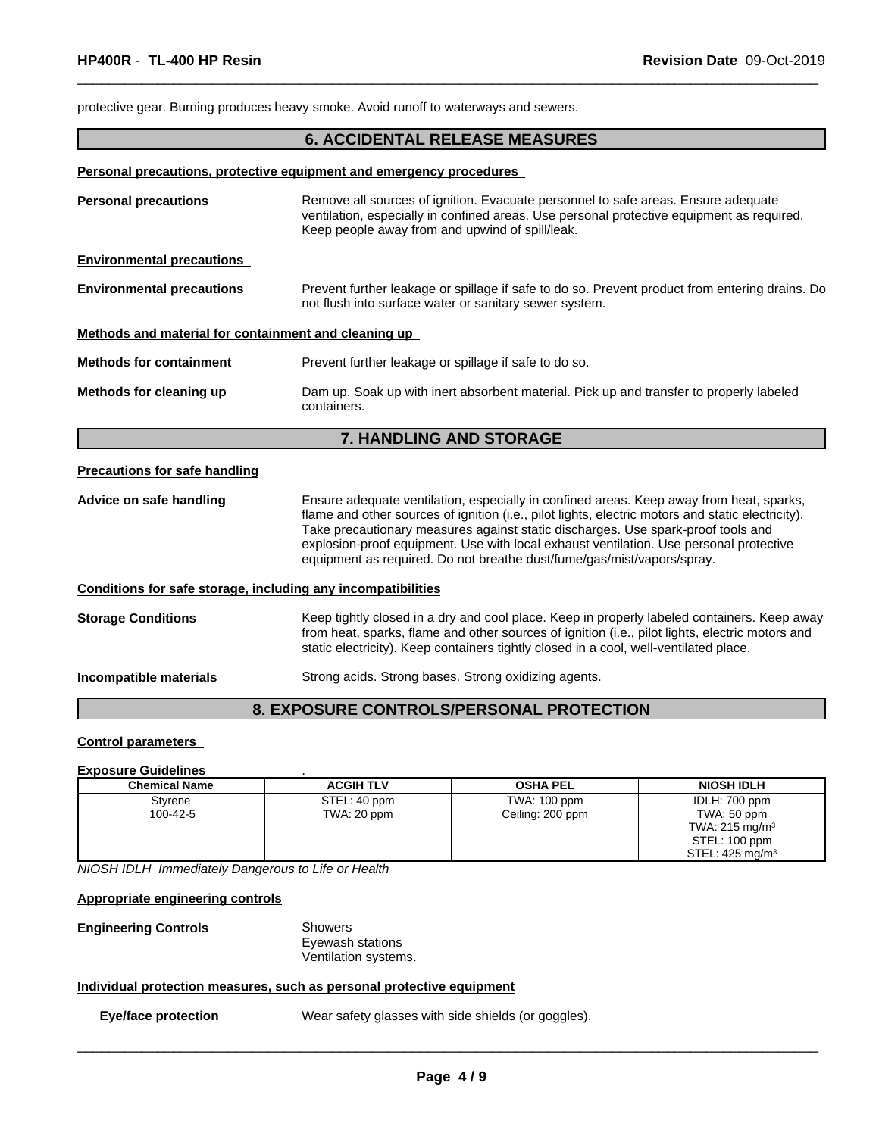protective gear. Burning produces heavy smoke. Avoid runoff to waterways and sewers.

# **6. ACCIDENTAL RELEASE MEASURES**

 $\overline{\phantom{a}}$  ,  $\overline{\phantom{a}}$  ,  $\overline{\phantom{a}}$  ,  $\overline{\phantom{a}}$  ,  $\overline{\phantom{a}}$  ,  $\overline{\phantom{a}}$  ,  $\overline{\phantom{a}}$  ,  $\overline{\phantom{a}}$  ,  $\overline{\phantom{a}}$  ,  $\overline{\phantom{a}}$  ,  $\overline{\phantom{a}}$  ,  $\overline{\phantom{a}}$  ,  $\overline{\phantom{a}}$  ,  $\overline{\phantom{a}}$  ,  $\overline{\phantom{a}}$  ,  $\overline{\phantom{a}}$ 

|                                                              | Personal precautions, protective equipment and emergency procedures                                                                                                                                                                                                                                                                                                                                                                                  |
|--------------------------------------------------------------|------------------------------------------------------------------------------------------------------------------------------------------------------------------------------------------------------------------------------------------------------------------------------------------------------------------------------------------------------------------------------------------------------------------------------------------------------|
| <b>Personal precautions</b>                                  | Remove all sources of ignition. Evacuate personnel to safe areas. Ensure adequate<br>ventilation, especially in confined areas. Use personal protective equipment as required.<br>Keep people away from and upwind of spill/leak.                                                                                                                                                                                                                    |
| <b>Environmental precautions</b>                             |                                                                                                                                                                                                                                                                                                                                                                                                                                                      |
| <b>Environmental precautions</b>                             | Prevent further leakage or spillage if safe to do so. Prevent product from entering drains. Do<br>not flush into surface water or sanitary sewer system.                                                                                                                                                                                                                                                                                             |
| Methods and material for containment and cleaning up         |                                                                                                                                                                                                                                                                                                                                                                                                                                                      |
| <b>Methods for containment</b>                               | Prevent further leakage or spillage if safe to do so.                                                                                                                                                                                                                                                                                                                                                                                                |
| Methods for cleaning up                                      | Dam up. Soak up with inert absorbent material. Pick up and transfer to properly labeled<br>containers.                                                                                                                                                                                                                                                                                                                                               |
|                                                              | <b>7. HANDLING AND STORAGE</b>                                                                                                                                                                                                                                                                                                                                                                                                                       |
| <b>Precautions for safe handling</b>                         |                                                                                                                                                                                                                                                                                                                                                                                                                                                      |
| Advice on safe handling                                      | Ensure adequate ventilation, especially in confined areas. Keep away from heat, sparks,<br>flame and other sources of ignition (i.e., pilot lights, electric motors and static electricity).<br>Take precautionary measures against static discharges. Use spark-proof tools and<br>explosion-proof equipment. Use with local exhaust ventilation. Use personal protective<br>equipment as required. Do not breathe dust/fume/gas/mist/vapors/spray. |
| Conditions for safe storage, including any incompatibilities |                                                                                                                                                                                                                                                                                                                                                                                                                                                      |
| <b>Storage Conditions</b>                                    | Keep tightly closed in a dry and cool place. Keep in properly labeled containers. Keep away<br>from heat, sparks, flame and other sources of ignition (i.e., pilot lights, electric motors and<br>static electricity). Keep containers tightly closed in a cool, well-ventilated place.                                                                                                                                                              |
| Incompatible materials                                       | Strong acids. Strong bases. Strong oxidizing agents.                                                                                                                                                                                                                                                                                                                                                                                                 |
|                                                              |                                                                                                                                                                                                                                                                                                                                                                                                                                                      |

# **8. EXPOSURE CONTROLS/PERSONAL PROTECTION**

#### **Control parameters**

#### **Exposure Guidelines** .

| TWA: 100 ppm<br>STEL: 40 ppm<br>IDLH: 700 ppm<br>Styrene<br>100-42-5<br>TWA: 20 ppm<br>Ceiling: 200 ppm<br>TWA: 50 ppm<br>TWA: $215 \text{ mg/m}^3$<br>STEL: 100 ppm<br>STEL: 425 mg/m <sup>3</sup> | <b>Chemical Name</b> | <b>ACGIH TLV</b> | <b>OSHA PEL</b> | <b>NIOSH IDLH</b> |
|-----------------------------------------------------------------------------------------------------------------------------------------------------------------------------------------------------|----------------------|------------------|-----------------|-------------------|
|                                                                                                                                                                                                     |                      |                  |                 |                   |
|                                                                                                                                                                                                     |                      |                  |                 |                   |
|                                                                                                                                                                                                     |                      |                  |                 |                   |
|                                                                                                                                                                                                     |                      |                  |                 |                   |

*NIOSH IDLH Immediately Dangerous to Life or Health*

#### **Appropriate engineering controls**

| <b>Engineering Controls</b> | Showers              |  |
|-----------------------------|----------------------|--|
|                             | Eyewash stations     |  |
|                             | Ventilation systems. |  |

#### **Individual protection measures, such as personal protective equipment**

**Eye/face protection** Wear safety glasses with side shields (or goggles).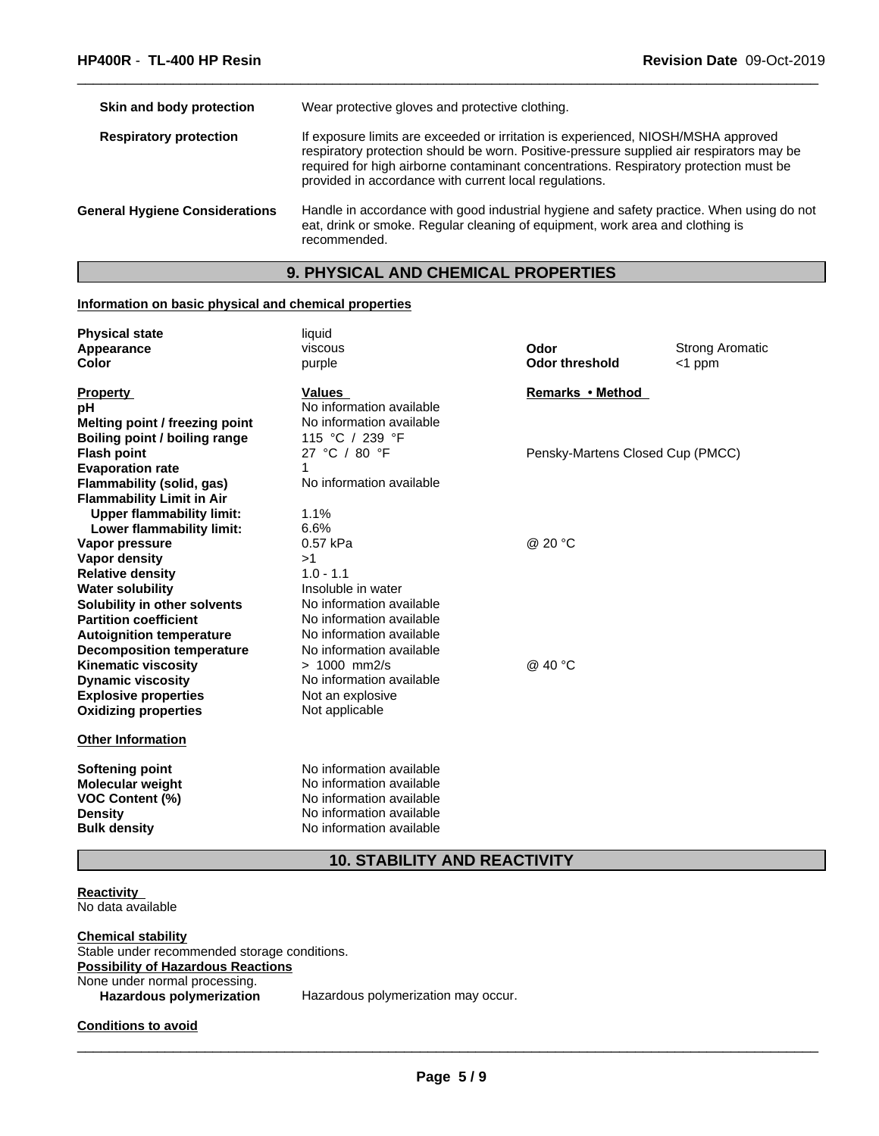| Skin and body protection              | Wear protective gloves and protective clothing.                                                                                                                                                                                                                                                                                  |
|---------------------------------------|----------------------------------------------------------------------------------------------------------------------------------------------------------------------------------------------------------------------------------------------------------------------------------------------------------------------------------|
| <b>Respiratory protection</b>         | If exposure limits are exceeded or irritation is experienced, NIOSH/MSHA approved<br>respiratory protection should be worn. Positive-pressure supplied air respirators may be<br>required for high airborne contaminant concentrations. Respiratory protection must be<br>provided in accordance with current local regulations. |
| <b>General Hygiene Considerations</b> | Handle in accordance with good industrial hygiene and safety practice. When using do not<br>eat, drink or smoke. Regular cleaning of equipment, work area and clothing is<br>recommended.                                                                                                                                        |

 $\overline{\phantom{a}}$  ,  $\overline{\phantom{a}}$  ,  $\overline{\phantom{a}}$  ,  $\overline{\phantom{a}}$  ,  $\overline{\phantom{a}}$  ,  $\overline{\phantom{a}}$  ,  $\overline{\phantom{a}}$  ,  $\overline{\phantom{a}}$  ,  $\overline{\phantom{a}}$  ,  $\overline{\phantom{a}}$  ,  $\overline{\phantom{a}}$  ,  $\overline{\phantom{a}}$  ,  $\overline{\phantom{a}}$  ,  $\overline{\phantom{a}}$  ,  $\overline{\phantom{a}}$  ,  $\overline{\phantom{a}}$ 

# **9. PHYSICAL AND CHEMICAL PROPERTIES**

#### **Information on basic physical and chemical properties**

| <b>Physical state</b>            | liquid                   |                                  |                        |
|----------------------------------|--------------------------|----------------------------------|------------------------|
| Appearance                       | viscous                  | Odor                             | <b>Strong Aromatic</b> |
| Color                            | purple                   | <b>Odor threshold</b>            | $<$ 1 ppm              |
| <b>Property</b>                  | <b>Values</b>            | Remarks • Method                 |                        |
| рH                               | No information available |                                  |                        |
| Melting point / freezing point   | No information available |                                  |                        |
| Boiling point / boiling range    | 115 °C / 239 °F          |                                  |                        |
| <b>Flash point</b>               | 27 °C / 80 °F            | Pensky-Martens Closed Cup (PMCC) |                        |
| <b>Evaporation rate</b>          | 1                        |                                  |                        |
| <b>Flammability (solid, gas)</b> | No information available |                                  |                        |
| <b>Flammability Limit in Air</b> |                          |                                  |                        |
| <b>Upper flammability limit:</b> | 1.1%                     |                                  |                        |
| Lower flammability limit:        | 6.6%                     |                                  |                        |
| Vapor pressure                   | 0.57 kPa                 | @ 20 °C                          |                        |
| Vapor density                    | >1                       |                                  |                        |
| <b>Relative density</b>          | $1.0 - 1.1$              |                                  |                        |
| <b>Water solubility</b>          | Insoluble in water       |                                  |                        |
| Solubility in other solvents     | No information available |                                  |                        |
| <b>Partition coefficient</b>     | No information available |                                  |                        |
| <b>Autoignition temperature</b>  | No information available |                                  |                        |
| <b>Decomposition temperature</b> | No information available |                                  |                        |
| <b>Kinematic viscosity</b>       | $> 1000$ mm2/s           | @ 40 °C                          |                        |
| <b>Dynamic viscosity</b>         | No information available |                                  |                        |
| <b>Explosive properties</b>      | Not an explosive         |                                  |                        |
| <b>Oxidizing properties</b>      | Not applicable           |                                  |                        |
| <b>Other Information</b>         |                          |                                  |                        |
| Softening point                  | No information available |                                  |                        |
| <b>Molecular weight</b>          | No information available |                                  |                        |
| <b>VOC Content (%)</b>           | No information available |                                  |                        |
| <b>Density</b>                   | No information available |                                  |                        |
| <b>Bulk density</b>              | No information available |                                  |                        |
|                                  |                          |                                  |                        |

# **10. STABILITY AND REACTIVITY**

**Reactivity**  No data available

**Chemical stability** Stable under recommended storage conditions. **Possibility of Hazardous Reactions** None under normal processing.<br>Hazardous polymerization

Hazardous polymerization may occur.

**Conditions to avoid**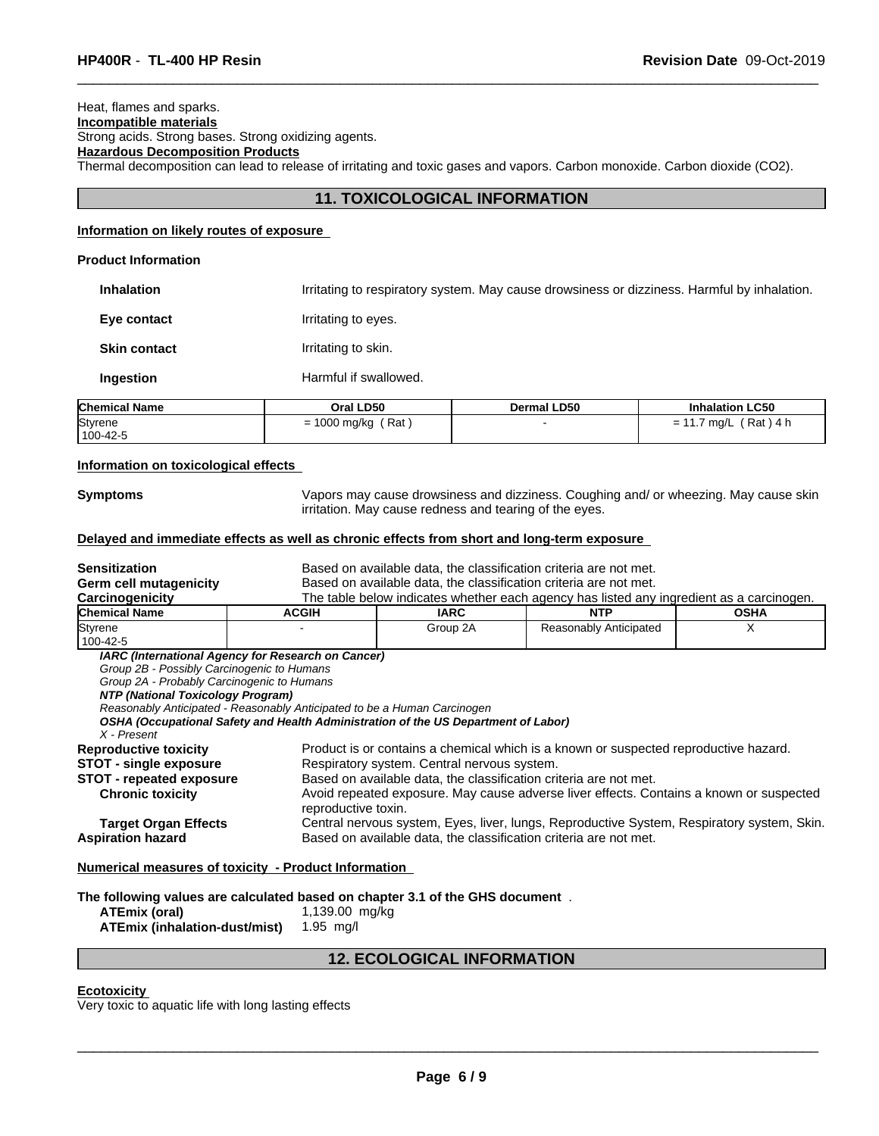#### Heat, flames and sparks. **Incompatible materials**

Strong acids. Strong bases. Strong oxidizing agents.

#### **Hazardous Decomposition Products**

Thermal decomposition can lead to release of irritating and toxic gases and vapors. Carbon monoxide. Carbon dioxide (CO2).

### **11. TOXICOLOGICAL INFORMATION**

 $\overline{\phantom{a}}$  ,  $\overline{\phantom{a}}$  ,  $\overline{\phantom{a}}$  ,  $\overline{\phantom{a}}$  ,  $\overline{\phantom{a}}$  ,  $\overline{\phantom{a}}$  ,  $\overline{\phantom{a}}$  ,  $\overline{\phantom{a}}$  ,  $\overline{\phantom{a}}$  ,  $\overline{\phantom{a}}$  ,  $\overline{\phantom{a}}$  ,  $\overline{\phantom{a}}$  ,  $\overline{\phantom{a}}$  ,  $\overline{\phantom{a}}$  ,  $\overline{\phantom{a}}$  ,  $\overline{\phantom{a}}$ 

#### **Information on likely routes of exposure**

# **Product Information Inhalation** Intertating to respiratory system. May cause drowsiness or dizziness. Harmful by inhalation. **Eye contact I**rritating to eyes. **Skin contact I**rritating to skin. **Ingestion** Harmful if swallowed. **Chemical Name Oral LD50 Dermal LD50 Inhalation LC50** Styrene  $= 1000 \text{ mg/kg}$  (Rat )  $= 11.7 \text{ mg/L}$  (Rat )  $= 11.7 \text{ mg/L}$

#### **Information on toxicological effects**

100-42-5

**Symptoms** Vapors may cause drowsiness and dizziness. Coughing and/ or wheezing. May cause skin irritation. May cause redness and tearing of the eyes.

#### **Delayed and immediate effects as well as chronic effects from short and long-term exposure**

**Sensitization Based on available data, the classification criteria are not met.** 

**Germ cell mutagenicity** Based on available data, the classification criteria are not met.

**Carcinogenicity** The table below indicates whether each agency has listed any ingredient as a carcinogen.

| <b>Chemical Name</b> | <b>ACGIH</b> | <b>IARC</b> | WTD<br>.                  | <b>OSHA</b> |
|----------------------|--------------|-------------|---------------------------|-------------|
| <b>Styrene</b>       |              | Group 2/    | Anticipateo<br>Reasonablv |             |
| $100 - 42 - 5$       |              |             |                           |             |

*IARC (International Agency for Research on Cancer)*

*Group 2B - Possibly Carcinogenic to Humans*

*Group 2A - Probably Carcinogenic to Humans*

*NTP (National Toxicology Program)*

*Reasonably Anticipated - Reasonably Anticipated to be a Human Carcinogen*

*OSHA (Occupational Safety and Health Administration of the US Department of Labor)*

| X - Present           |  |
|-----------------------|--|
| lanraduativa taviaitv |  |

**Reproductive toxicity** Product is or contains a chemical which is a known or suspected reproductive hazard. **STOT - single exposure** Respiratory system. Central nervous system. **STOT - repeated exposure** Based on available data, the classification criteria are not met. **Chronic toxicity Avoid repeated exposure. May cause adverse liver effects. Contains a known or suspected** 

reproductive toxin.

 $\overline{\phantom{a}}$  ,  $\overline{\phantom{a}}$  ,  $\overline{\phantom{a}}$  ,  $\overline{\phantom{a}}$  ,  $\overline{\phantom{a}}$  ,  $\overline{\phantom{a}}$  ,  $\overline{\phantom{a}}$  ,  $\overline{\phantom{a}}$  ,  $\overline{\phantom{a}}$  ,  $\overline{\phantom{a}}$  ,  $\overline{\phantom{a}}$  ,  $\overline{\phantom{a}}$  ,  $\overline{\phantom{a}}$  ,  $\overline{\phantom{a}}$  ,  $\overline{\phantom{a}}$  ,  $\overline{\phantom{a}}$ 

**Target Organ Effects** Central nervous system, Eyes, liver, lungs, Reproductive System, Respiratory system, Skin. **Aspiration hazard** Based on available data, the classification criteria are not met.

#### **Numerical measures of toxicity - Product Information**

**The following values are calculated based on chapter 3.1 of the GHS document** .

| ATEmix (oral) | 1,139.00 mg/kg |  |
|---------------|----------------|--|
|               |                |  |

**ATEmix (inhalation-dust/mist)** 1.95 mg/l

### **12. ECOLOGICAL INFORMATION**

#### **Ecotoxicity**

Very toxic to aquatic life with long lasting effects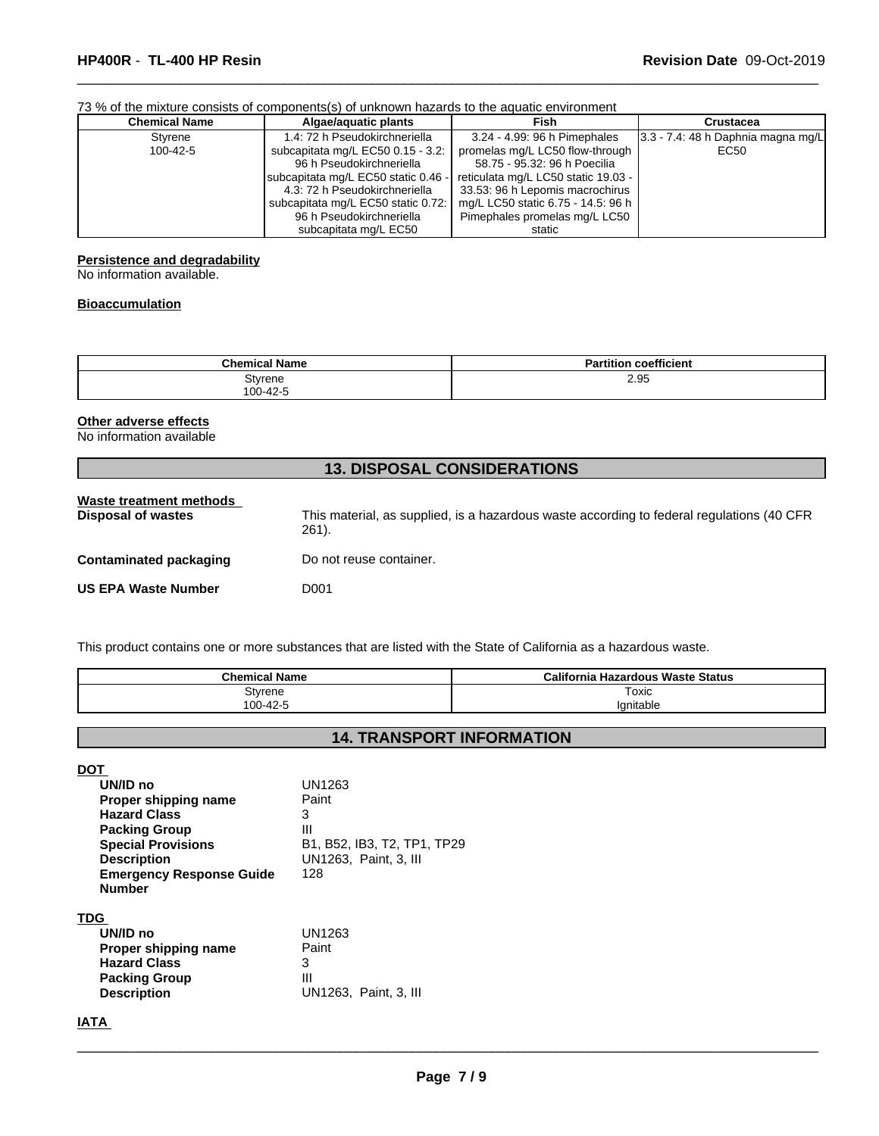#### 73 % of the mixture consists of components(s) of unknown hazards to the aquatic environment

| <b>Chemical Name</b> | Algae/aquatic plants                | Fish                                | Crustacea                               |
|----------------------|-------------------------------------|-------------------------------------|-----------------------------------------|
| Styrene              | 1.4: 72 h Pseudokirchneriella       | 3.24 - 4.99: 96 h Pimephales        | $ 3.3 - 7.4 $ : 48 h Daphnia magna mg/L |
| $100 - 42 - 5$       | subcapitata mg/L EC50 0.15 - 3.2:   | promelas mg/L LC50 flow-through     | EC50                                    |
|                      | 96 h Pseudokirchneriella            | 58.75 - 95.32: 96 h Poecilia        |                                         |
|                      | subcapitata mg/L EC50 static 0.46 - | reticulata mg/L LC50 static 19.03 - |                                         |
|                      | 4.3: 72 h Pseudokirchneriella       | 33.53: 96 h Lepomis macrochirus     |                                         |
|                      | subcapitata mg/L EC50 static 0.72:  | mg/L LC50 static 6.75 - 14.5: 96 h  |                                         |
|                      | 96 h Pseudokirchneriella            | Pimephales promelas mg/L LC50       |                                         |
|                      | subcapitata mg/L EC50               | static                              |                                         |

 $\overline{\phantom{a}}$  ,  $\overline{\phantom{a}}$  ,  $\overline{\phantom{a}}$  ,  $\overline{\phantom{a}}$  ,  $\overline{\phantom{a}}$  ,  $\overline{\phantom{a}}$  ,  $\overline{\phantom{a}}$  ,  $\overline{\phantom{a}}$  ,  $\overline{\phantom{a}}$  ,  $\overline{\phantom{a}}$  ,  $\overline{\phantom{a}}$  ,  $\overline{\phantom{a}}$  ,  $\overline{\phantom{a}}$  ,  $\overline{\phantom{a}}$  ,  $\overline{\phantom{a}}$  ,  $\overline{\phantom{a}}$ 

#### **Persistence and degradability**

No information available.

#### **Bioaccumulation**

| <b>Chemical Name</b> | coefficient<br>Do.<br><b>'artition</b> |
|----------------------|----------------------------------------|
| Styrene              | 2.95                                   |
| 100-42-5             |                                        |

#### **Other adverse effects**

No information available

| <b>13. DISPOSAL CONSIDERATIONS</b>                   |                                                                                                    |  |  |  |
|------------------------------------------------------|----------------------------------------------------------------------------------------------------|--|--|--|
| Waste treatment methods<br><b>Disposal of wastes</b> | This material, as supplied, is a hazardous waste according to federal regulations (40 CFR<br>261). |  |  |  |
| <b>Contaminated packaging</b>                        | Do not reuse container.                                                                            |  |  |  |
| <b>US EPA Waste Number</b>                           | D001                                                                                               |  |  |  |

This product contains one or more substances that are listed with the State of California as a hazardous waste.

| <b>Chemical Name</b> | California Hazardous Waste Status |
|----------------------|-----------------------------------|
| Styrene              | Toxic                             |
| 100-42-5             | Ignitable                         |

# **14. TRANSPORT INFORMATION**

**DOT** 

| UN/ID no                        | UN1263                      |
|---------------------------------|-----------------------------|
| Proper shipping name            | Paint                       |
| <b>Hazard Class</b>             | 3                           |
| <b>Packing Group</b>            | Ш                           |
| <b>Special Provisions</b>       | B1, B52, IB3, T2, TP1, TP29 |
| <b>Description</b>              | UN1263, Paint, 3, III       |
| <b>Emergency Response Guide</b> | 128                         |
| <b>Number</b>                   |                             |
| <b>TDG</b>                      |                             |
| UN/ID no                        | UN1263                      |
| Proper shipping name            | Paint                       |
| <b>Hazard Class</b>             | 3                           |
| <b>Packing Group</b>            | Ш                           |
| <b>Description</b>              | UN1263. Paint. 3. III       |
|                                 |                             |

**IATA**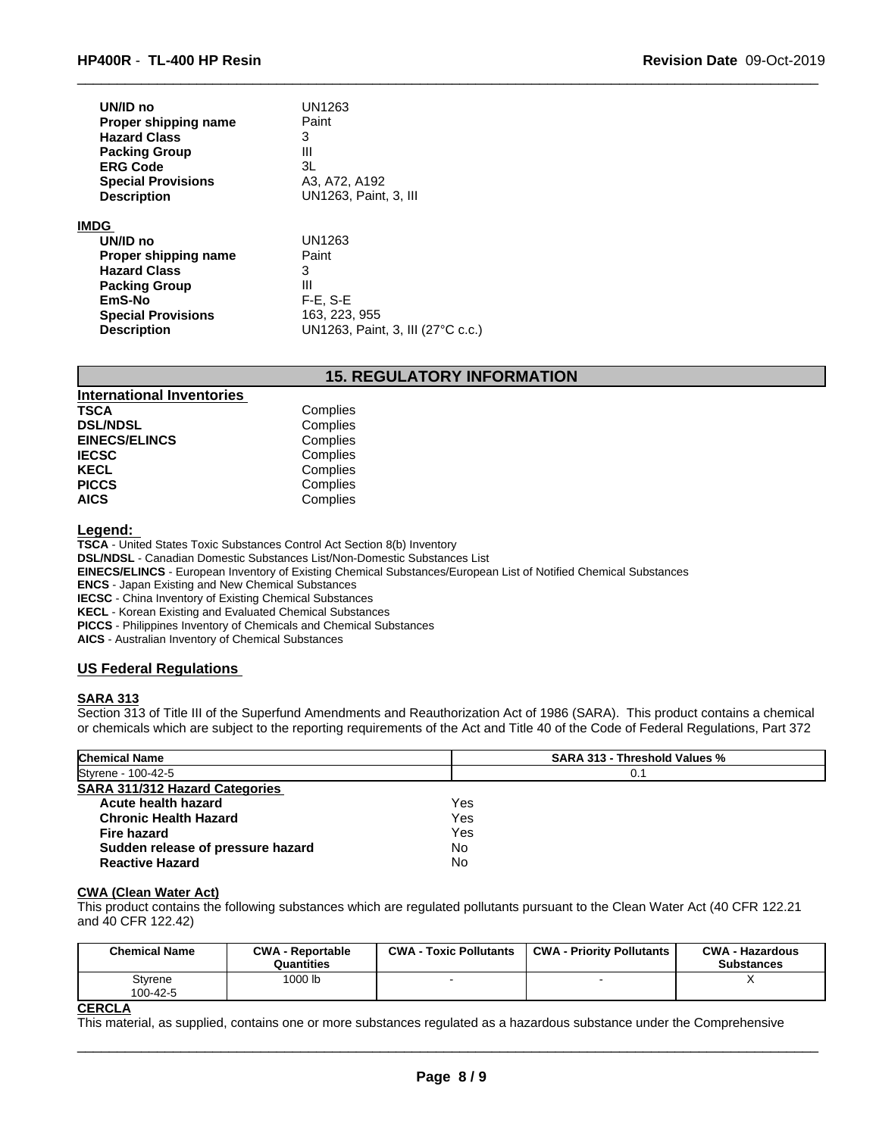| UN/ID no                  | UN1263                            |
|---------------------------|-----------------------------------|
| Proper shipping name      | Paint                             |
| <b>Hazard Class</b>       | 3                                 |
| <b>Packing Group</b>      | Ш                                 |
| <b>ERG Code</b>           | 3L                                |
| <b>Special Provisions</b> | A3, A72, A192                     |
| <b>Description</b>        | UN1263, Paint, 3, III             |
| <b>IMDG</b>               |                                   |
| UN/ID no                  | UN1263                            |
| Proper shipping name      | Paint                             |
| <b>Hazard Class</b>       | 3                                 |
| <b>Packing Group</b>      | Ш                                 |
| EmS-No                    | $F-E$ , S-E                       |
| <b>Special Provisions</b> | 163, 223, 955                     |
| <b>Description</b>        | UN1263, Paint, 3, III (27°C c.c.) |

#### **15. REGULATORY INFORMATION**

 $\overline{\phantom{a}}$  ,  $\overline{\phantom{a}}$  ,  $\overline{\phantom{a}}$  ,  $\overline{\phantom{a}}$  ,  $\overline{\phantom{a}}$  ,  $\overline{\phantom{a}}$  ,  $\overline{\phantom{a}}$  ,  $\overline{\phantom{a}}$  ,  $\overline{\phantom{a}}$  ,  $\overline{\phantom{a}}$  ,  $\overline{\phantom{a}}$  ,  $\overline{\phantom{a}}$  ,  $\overline{\phantom{a}}$  ,  $\overline{\phantom{a}}$  ,  $\overline{\phantom{a}}$  ,  $\overline{\phantom{a}}$ 

| <b>International Inventories</b> |          |  |
|----------------------------------|----------|--|
| <b>TSCA</b>                      | Complies |  |
| <b>DSL/NDSL</b>                  | Complies |  |
| <b>EINECS/ELINCS</b>             | Complies |  |
| <b>IECSC</b>                     | Complies |  |
| <b>KECL</b>                      | Complies |  |
| <b>PICCS</b>                     | Complies |  |
| <b>AICS</b>                      | Complies |  |

#### **Legend:**

**TSCA** - United States Toxic Substances Control Act Section 8(b) Inventory **DSL/NDSL** - Canadian Domestic Substances List/Non-Domestic Substances List

**EINECS/ELINCS** - European Inventory of Existing Chemical Substances/European List of Notified Chemical Substances

**ENCS** - Japan Existing and New Chemical Substances

**IECSC** - China Inventory of Existing Chemical Substances

**KECL** - Korean Existing and Evaluated Chemical Substances

**PICCS** - Philippines Inventory of Chemicals and Chemical Substances

**AICS** - Australian Inventory of Chemical Substances

#### **US Federal Regulations**

#### **SARA 313**

Section 313 of Title III of the Superfund Amendments and Reauthorization Act of 1986 (SARA). This product contains a chemical or chemicals which are subject to the reporting requirements of the Act and Title 40 of the Code of Federal Regulations, Part 372

| <b>Chemical Name</b>                  | <b>SARA 313 - Threshold Values %</b> |
|---------------------------------------|--------------------------------------|
| Styrene - 100-42-5                    | 0.1                                  |
| <b>SARA 311/312 Hazard Categories</b> |                                      |
| Acute health hazard                   | Yes                                  |
| <b>Chronic Health Hazard</b>          | Yes                                  |
| Fire hazard                           | Yes                                  |
| Sudden release of pressure hazard     | No                                   |
| <b>Reactive Hazard</b>                | No                                   |

#### **CWA (Clean Water Act)**

This product contains the following substances which are regulated pollutants pursuant to the Clean Water Act (40 CFR 122.21 and 40 CFR 122.42)

| <b>Chemical Name</b> | <b>CWA - Reportable</b><br>Quantities | <b>CWA - Toxic Pollutants</b> | <b>CWA - Priority Pollutants</b> | <b>CWA - Hazardous</b><br><b>Substances</b> |
|----------------------|---------------------------------------|-------------------------------|----------------------------------|---------------------------------------------|
| Styrene<br>100-42-5  | 1000 lb                               |                               |                                  | . .                                         |

# **CERCLA**

This material, as supplied, contains one or more substances regulated as a hazardous substance under the Comprehensive